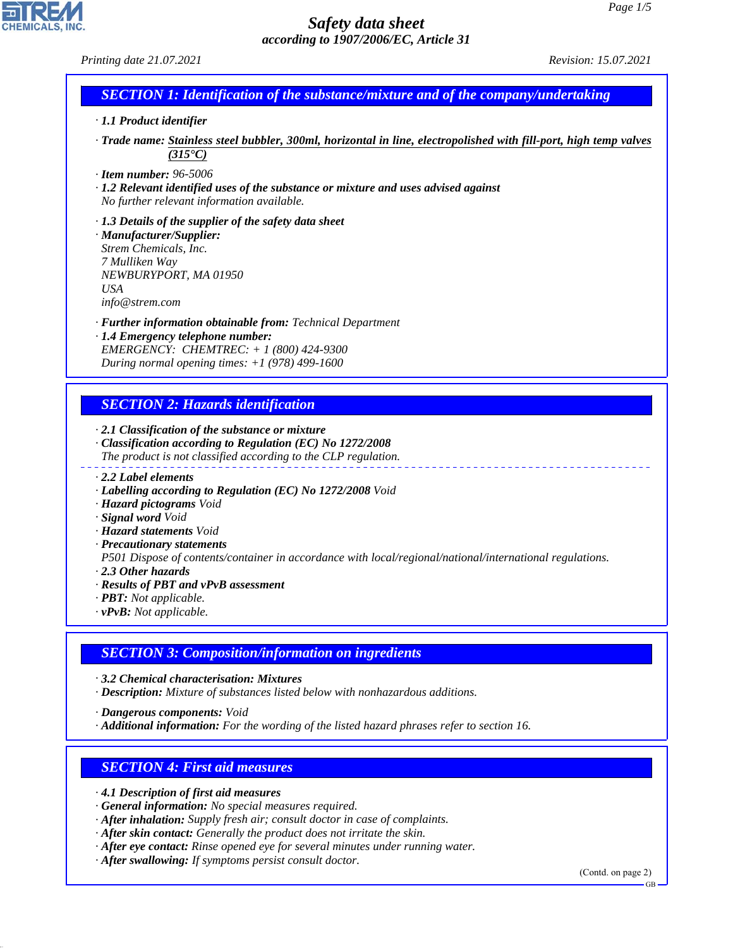*Printing date 21.07.2021 Revision: 15.07.2021*

## *SECTION 1: Identification of the substance/mixture and of the company/undertaking*

- *· 1.1 Product identifier*
- *· Trade name: Stainless steel bubbler, 300ml, horizontal in line, electropolished with fill-port, high temp valves (315°C)*
- *· Item number: 96-5006*
- *· 1.2 Relevant identified uses of the substance or mixture and uses advised against No further relevant information available.*
- *· 1.3 Details of the supplier of the safety data sheet · Manufacturer/Supplier: Strem Chemicals, Inc. 7 Mulliken Way NEWBURYPORT, MA 01950 USA info@strem.com*
- *· Further information obtainable from: Technical Department · 1.4 Emergency telephone number:*
- *EMERGENCY: CHEMTREC: + 1 (800) 424-9300 During normal opening times: +1 (978) 499-1600*

# *SECTION 2: Hazards identification*

- *· 2.1 Classification of the substance or mixture*
- *· Classification according to Regulation (EC) No 1272/2008 The product is not classified according to the CLP regulation.*
- *· 2.2 Label elements*
- *· Labelling according to Regulation (EC) No 1272/2008 Void*
- *· Hazard pictograms Void*
- *· Signal word Void*
- *· Hazard statements Void*
- *· Precautionary statements*

*P501 Dispose of contents/container in accordance with local/regional/national/international regulations.*

*· 2.3 Other hazards*

44.1.1

- *· Results of PBT and vPvB assessment*
- *· PBT: Not applicable.*
- *· vPvB: Not applicable.*

# *SECTION 3: Composition/information on ingredients*

*· 3.2 Chemical characterisation: Mixtures*

*· Description: Mixture of substances listed below with nonhazardous additions.*

*· Dangerous components: Void*

*· Additional information: For the wording of the listed hazard phrases refer to section 16.*

# *SECTION 4: First aid measures*

- *· 4.1 Description of first aid measures*
- *· General information: No special measures required.*
- *· After inhalation: Supply fresh air; consult doctor in case of complaints.*
- *· After skin contact: Generally the product does not irritate the skin.*
- *· After eye contact: Rinse opened eye for several minutes under running water.*
- *· After swallowing: If symptoms persist consult doctor.*

(Contd. on page 2)

GB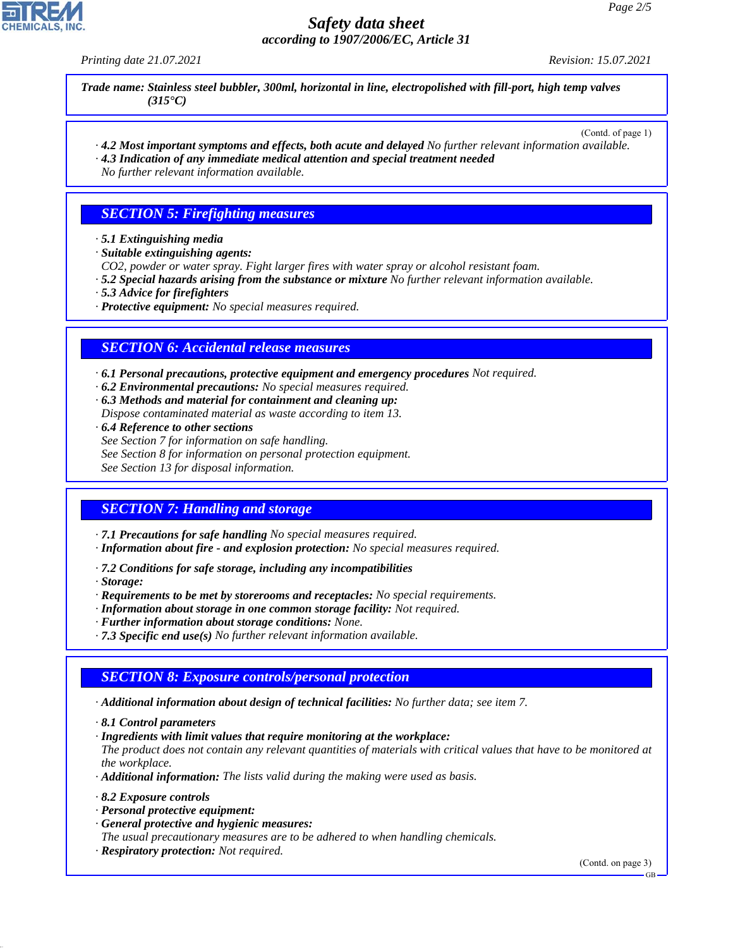*Printing date 21.07.2021 Revision: 15.07.2021*

*Trade name: Stainless steel bubbler, 300ml, horizontal in line, electropolished with fill-port, high temp valves (315°C)*

(Contd. of page 1)

*· 4.2 Most important symptoms and effects, both acute and delayed No further relevant information available. · 4.3 Indication of any immediate medical attention and special treatment needed*

*No further relevant information available.*

#### *SECTION 5: Firefighting measures*

- *· 5.1 Extinguishing media*
- *· Suitable extinguishing agents:*
- *CO2, powder or water spray. Fight larger fires with water spray or alcohol resistant foam.*
- *· 5.2 Special hazards arising from the substance or mixture No further relevant information available.*
- *· 5.3 Advice for firefighters*
- *· Protective equipment: No special measures required.*

#### *SECTION 6: Accidental release measures*

*· 6.1 Personal precautions, protective equipment and emergency procedures Not required.*

- *· 6.2 Environmental precautions: No special measures required.*
- *· 6.3 Methods and material for containment and cleaning up: Dispose contaminated material as waste according to item 13.*
- *· 6.4 Reference to other sections*
- *See Section 7 for information on safe handling.*
- *See Section 8 for information on personal protection equipment.*

*See Section 13 for disposal information.*

## *SECTION 7: Handling and storage*

- *· 7.1 Precautions for safe handling No special measures required.*
- *· Information about fire and explosion protection: No special measures required.*
- *· 7.2 Conditions for safe storage, including any incompatibilities*
- *· Storage:*
- *· Requirements to be met by storerooms and receptacles: No special requirements.*
- *· Information about storage in one common storage facility: Not required.*
- *· Further information about storage conditions: None.*
- *· 7.3 Specific end use(s) No further relevant information available.*

#### *SECTION 8: Exposure controls/personal protection*

- *· Additional information about design of technical facilities: No further data; see item 7.*
- *· 8.1 Control parameters*
- *· Ingredients with limit values that require monitoring at the workplace:*

*The product does not contain any relevant quantities of materials with critical values that have to be monitored at the workplace.*

- *· Additional information: The lists valid during the making were used as basis.*
- *· 8.2 Exposure controls*

44.1.1

- *· Personal protective equipment:*
- *· General protective and hygienic measures:*

*The usual precautionary measures are to be adhered to when handling chemicals.*

*· Respiratory protection: Not required.*

(Contd. on page 3)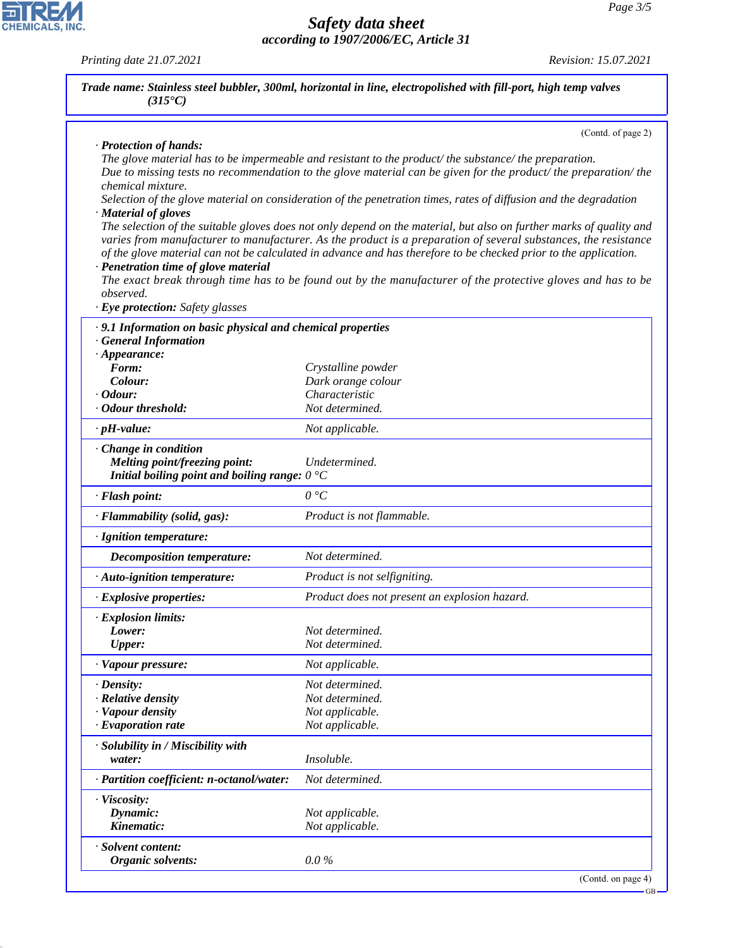GB

## *Safety data sheet according to 1907/2006/EC, Article 31*

*Printing date 21.07.2021 Revision: 15.07.2021*

CHEMICALS, INC.

44.1.1

| Trade name: Stainless steel bubbler, 300ml, horizontal in line, electropolished with fill-port, high temp valves<br>$(315^{\circ}C)$ |                                                                                                                                                                                                                                                                                                                                                            |
|--------------------------------------------------------------------------------------------------------------------------------------|------------------------------------------------------------------------------------------------------------------------------------------------------------------------------------------------------------------------------------------------------------------------------------------------------------------------------------------------------------|
|                                                                                                                                      | (Contd. of page 2)                                                                                                                                                                                                                                                                                                                                         |
| · Protection of hands:                                                                                                               | The glove material has to be impermeable and resistant to the product/the substance/the preparation.<br>Due to missing tests no recommendation to the glove material can be given for the product/ the preparation/ the                                                                                                                                    |
| chemical mixture.                                                                                                                    | Selection of the glove material on consideration of the penetration times, rates of diffusion and the degradation                                                                                                                                                                                                                                          |
| · Material of gloves                                                                                                                 |                                                                                                                                                                                                                                                                                                                                                            |
| · Penetration time of glove material                                                                                                 | The selection of the suitable gloves does not only depend on the material, but also on further marks of quality and<br>varies from manufacturer to manufacturer. As the product is a preparation of several substances, the resistance<br>of the glove material can not be calculated in advance and has therefore to be checked prior to the application. |
| observed.                                                                                                                            | The exact break through time has to be found out by the manufacturer of the protective gloves and has to be                                                                                                                                                                                                                                                |
| · Eye protection: Safety glasses                                                                                                     |                                                                                                                                                                                                                                                                                                                                                            |
| · 9.1 Information on basic physical and chemical properties                                                                          |                                                                                                                                                                                                                                                                                                                                                            |
| · General Information                                                                                                                |                                                                                                                                                                                                                                                                                                                                                            |
| $\cdot$ Appearance:<br>Form:                                                                                                         | Crystalline powder                                                                                                                                                                                                                                                                                                                                         |
| Colour:                                                                                                                              | Dark orange colour                                                                                                                                                                                                                                                                                                                                         |
| $\cdot$ Odour:                                                                                                                       | Characteristic                                                                                                                                                                                                                                                                                                                                             |
| · Odour threshold:                                                                                                                   | Not determined.                                                                                                                                                                                                                                                                                                                                            |
| $\cdot$ pH-value:                                                                                                                    | Not applicable.                                                                                                                                                                                                                                                                                                                                            |
| · Change in condition<br>Melting point/freezing point:<br>Initial boiling point and boiling range: $0^{\circ}C$                      | Undetermined.                                                                                                                                                                                                                                                                                                                                              |
| · Flash point:                                                                                                                       | 0 °C                                                                                                                                                                                                                                                                                                                                                       |
| · Flammability (solid, gas):                                                                                                         | Product is not flammable.                                                                                                                                                                                                                                                                                                                                  |
| · Ignition temperature:                                                                                                              |                                                                                                                                                                                                                                                                                                                                                            |
| Decomposition temperature:                                                                                                           | Not determined.                                                                                                                                                                                                                                                                                                                                            |
| · Auto-ignition temperature:                                                                                                         | Product is not selfigniting.                                                                                                                                                                                                                                                                                                                               |
| $\cdot$ Explosive properties:                                                                                                        | Product does not present an explosion hazard.                                                                                                                                                                                                                                                                                                              |
| <b>Explosion limits:</b>                                                                                                             |                                                                                                                                                                                                                                                                                                                                                            |
| Lower:                                                                                                                               | Not determined.                                                                                                                                                                                                                                                                                                                                            |
| <b>Upper:</b>                                                                                                                        | Not determined.                                                                                                                                                                                                                                                                                                                                            |
| · Vapour pressure:                                                                                                                   | Not applicable.                                                                                                                                                                                                                                                                                                                                            |
| $\cdot$ Density:                                                                                                                     | Not determined.                                                                                                                                                                                                                                                                                                                                            |
| $\cdot$ Relative density                                                                                                             | Not determined.                                                                                                                                                                                                                                                                                                                                            |
| · Vapour density                                                                                                                     | Not applicable.                                                                                                                                                                                                                                                                                                                                            |
| $\cdot$ Evaporation rate                                                                                                             | Not applicable.                                                                                                                                                                                                                                                                                                                                            |
| · Solubility in / Miscibility with                                                                                                   |                                                                                                                                                                                                                                                                                                                                                            |
| water:                                                                                                                               | Insoluble.                                                                                                                                                                                                                                                                                                                                                 |
| · Partition coefficient: n-octanol/water:                                                                                            | Not determined.                                                                                                                                                                                                                                                                                                                                            |
| · Viscosity:                                                                                                                         |                                                                                                                                                                                                                                                                                                                                                            |
| Dynamic:                                                                                                                             | Not applicable.                                                                                                                                                                                                                                                                                                                                            |
| Kinematic:                                                                                                                           | Not applicable.                                                                                                                                                                                                                                                                                                                                            |
| · Solvent content:<br>Organic solvents:                                                                                              | $0.0\%$                                                                                                                                                                                                                                                                                                                                                    |
|                                                                                                                                      | (Contd. on page 4)                                                                                                                                                                                                                                                                                                                                         |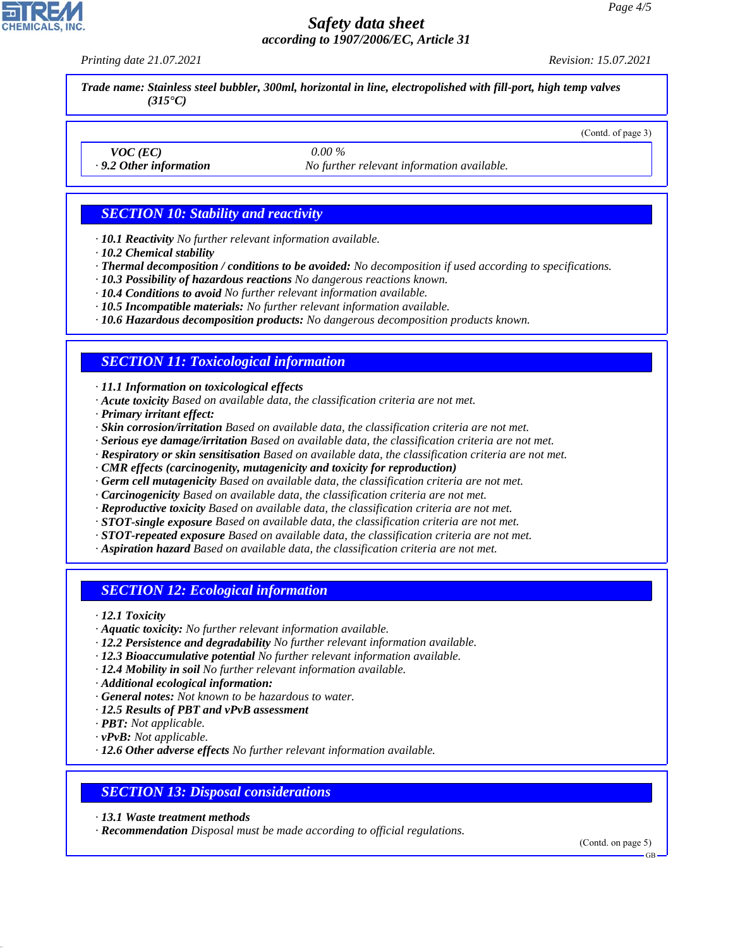*Printing date 21.07.2021 Revision: 15.07.2021*

(Contd. of page 3)

*Trade name: Stainless steel bubbler, 300ml, horizontal in line, electropolished with fill-port, high temp valves (315°C)*

*VOC (EC) 0.00 %*

*· 9.2 Other information No further relevant information available.*

## *SECTION 10: Stability and reactivity*

- *· 10.1 Reactivity No further relevant information available.*
- *· 10.2 Chemical stability*
- *· Thermal decomposition / conditions to be avoided: No decomposition if used according to specifications.*
- *· 10.3 Possibility of hazardous reactions No dangerous reactions known.*
- *· 10.4 Conditions to avoid No further relevant information available.*
- *· 10.5 Incompatible materials: No further relevant information available.*
- *· 10.6 Hazardous decomposition products: No dangerous decomposition products known.*

## *SECTION 11: Toxicological information*

*· 11.1 Information on toxicological effects*

- *· Acute toxicity Based on available data, the classification criteria are not met.*
- *· Primary irritant effect:*
- *· Skin corrosion/irritation Based on available data, the classification criteria are not met.*
- *· Serious eye damage/irritation Based on available data, the classification criteria are not met.*
- *· Respiratory or skin sensitisation Based on available data, the classification criteria are not met.*
- *· CMR effects (carcinogenity, mutagenicity and toxicity for reproduction)*
- *· Germ cell mutagenicity Based on available data, the classification criteria are not met.*
- *· Carcinogenicity Based on available data, the classification criteria are not met.*
- *· Reproductive toxicity Based on available data, the classification criteria are not met.*
- *· STOT-single exposure Based on available data, the classification criteria are not met.*
- *· STOT-repeated exposure Based on available data, the classification criteria are not met.*
- *· Aspiration hazard Based on available data, the classification criteria are not met.*

## *SECTION 12: Ecological information*

*· 12.1 Toxicity*

- *· Aquatic toxicity: No further relevant information available.*
- *· 12.2 Persistence and degradability No further relevant information available.*
- *· 12.3 Bioaccumulative potential No further relevant information available.*
- *· 12.4 Mobility in soil No further relevant information available.*
- *· Additional ecological information:*
- *· General notes: Not known to be hazardous to water.*
- *· 12.5 Results of PBT and vPvB assessment*
- *· PBT: Not applicable.*

44.1.1

- *· vPvB: Not applicable.*
- *· 12.6 Other adverse effects No further relevant information available.*

## *SECTION 13: Disposal considerations*

- *· 13.1 Waste treatment methods*
- *· Recommendation Disposal must be made according to official regulations.*

(Contd. on page 5)

GB